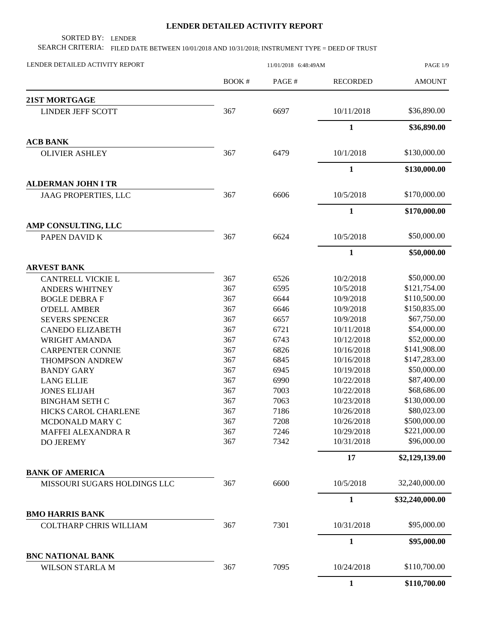## **LENDER DETAILED ACTIVITY REPORT**

SORTED BY: LENDER

SEARCH CRITERIA: FILED DATE BETWEEN 10/01/2018 AND 10/31/2018; INSTRUMENT TYPE = DEED OF TRUST

| LENDER DETAILED ACTIVITY REPORT                                                                                                                          |                                                                                                                                                                                                                                                                                                                                                 | PAGE 1/9      |                 |                 |
|----------------------------------------------------------------------------------------------------------------------------------------------------------|-------------------------------------------------------------------------------------------------------------------------------------------------------------------------------------------------------------------------------------------------------------------------------------------------------------------------------------------------|---------------|-----------------|-----------------|
|                                                                                                                                                          | <b>BOOK#</b>                                                                                                                                                                                                                                                                                                                                    | PAGE#         | <b>RECORDED</b> | <b>AMOUNT</b>   |
| <b>21ST MORTGAGE</b>                                                                                                                                     |                                                                                                                                                                                                                                                                                                                                                 |               |                 |                 |
| <b>LINDER JEFF SCOTT</b>                                                                                                                                 | 367                                                                                                                                                                                                                                                                                                                                             | 6697          | 10/11/2018      | \$36,890.00     |
|                                                                                                                                                          |                                                                                                                                                                                                                                                                                                                                                 |               | $\mathbf{1}$    | \$36,890.00     |
| <b>ACB BANK</b>                                                                                                                                          |                                                                                                                                                                                                                                                                                                                                                 |               |                 |                 |
| <b>OLIVIER ASHLEY</b>                                                                                                                                    | 367                                                                                                                                                                                                                                                                                                                                             | 6479          | 10/1/2018       | \$130,000.00    |
|                                                                                                                                                          |                                                                                                                                                                                                                                                                                                                                                 |               | $\mathbf{1}$    | \$130,000.00    |
| <b>ALDERMAN JOHN I TR</b>                                                                                                                                |                                                                                                                                                                                                                                                                                                                                                 |               |                 |                 |
| JAAG PROPERTIES, LLC                                                                                                                                     | 367                                                                                                                                                                                                                                                                                                                                             | 6606          | 10/5/2018       | \$170,000.00    |
|                                                                                                                                                          |                                                                                                                                                                                                                                                                                                                                                 |               | 1               | \$170,000.00    |
| AMP CONSULTING, LLC                                                                                                                                      |                                                                                                                                                                                                                                                                                                                                                 |               |                 |                 |
|                                                                                                                                                          |                                                                                                                                                                                                                                                                                                                                                 |               | 10/5/2018       | \$50,000.00     |
|                                                                                                                                                          | 11/01/2018 6:48:49AM<br>367<br>6624<br>367<br>6526<br>367<br>6595<br>367<br>6644<br>367<br>6646<br>367<br>6657<br>367<br>6721<br>367<br>6743<br>367<br>6826<br>367<br>6845<br>367<br>6945<br>367<br>6990<br>367<br>7003<br>367<br>7063<br>367<br>7186<br>367<br>7208<br>7246<br>367<br>367<br>7342<br>6600<br>367<br>367<br>7301<br>7095<br>367 | $\mathbf{1}$  | \$50,000.00     |                 |
| <b>ARVEST BANK</b>                                                                                                                                       |                                                                                                                                                                                                                                                                                                                                                 |               |                 |                 |
| <b>CANTRELL VICKIE L</b>                                                                                                                                 |                                                                                                                                                                                                                                                                                                                                                 |               | 10/2/2018       | \$50,000.00     |
| <b>ANDERS WHITNEY</b>                                                                                                                                    |                                                                                                                                                                                                                                                                                                                                                 |               | 10/5/2018       | \$121,754.00    |
| <b>BOGLE DEBRA F</b>                                                                                                                                     |                                                                                                                                                                                                                                                                                                                                                 |               | 10/9/2018       | \$110,500.00    |
| <b>O'DELL AMBER</b>                                                                                                                                      |                                                                                                                                                                                                                                                                                                                                                 |               | 10/9/2018       | \$150,835.00    |
| <b>SEVERS SPENCER</b>                                                                                                                                    |                                                                                                                                                                                                                                                                                                                                                 |               | 10/9/2018       | \$67,750.00     |
| <b>CANEDO ELIZABETH</b>                                                                                                                                  |                                                                                                                                                                                                                                                                                                                                                 |               | 10/11/2018      | \$54,000.00     |
| <b>WRIGHT AMANDA</b>                                                                                                                                     |                                                                                                                                                                                                                                                                                                                                                 |               | 10/12/2018      | \$52,000.00     |
| <b>CARPENTER CONNIE</b>                                                                                                                                  |                                                                                                                                                                                                                                                                                                                                                 |               | 10/16/2018      | \$141,908.00    |
| <b>THOMPSON ANDREW</b>                                                                                                                                   |                                                                                                                                                                                                                                                                                                                                                 |               | 10/16/2018      | \$147,283.00    |
| <b>BANDY GARY</b>                                                                                                                                        |                                                                                                                                                                                                                                                                                                                                                 |               | 10/19/2018      | \$50,000.00     |
| <b>LANG ELLIE</b>                                                                                                                                        |                                                                                                                                                                                                                                                                                                                                                 |               | 10/22/2018      | \$87,400.00     |
| <b>JONES ELIJAH</b>                                                                                                                                      |                                                                                                                                                                                                                                                                                                                                                 |               | 10/22/2018      | \$68,686.00     |
| <b>BINGHAM SETH C</b>                                                                                                                                    |                                                                                                                                                                                                                                                                                                                                                 |               | 10/23/2018      | \$130,000.00    |
| HICKS CAROL CHARLENE                                                                                                                                     |                                                                                                                                                                                                                                                                                                                                                 |               | 10/26/2018      | \$80,023.00     |
| MCDONALD MARY C                                                                                                                                          |                                                                                                                                                                                                                                                                                                                                                 |               | 10/26/2018      | \$500,000.00    |
| MAFFEI ALEXANDRA R                                                                                                                                       |                                                                                                                                                                                                                                                                                                                                                 |               | 10/29/2018      | \$221,000.00    |
| PAPEN DAVID K<br><b>DO JEREMY</b><br>MISSOURI SUGARS HOLDINGS LLC<br><b>COLTHARP CHRIS WILLIAM</b><br><b>BNC NATIONAL BANK</b><br><b>WILSON STARLA M</b> |                                                                                                                                                                                                                                                                                                                                                 |               | 10/31/2018      | \$96,000.00     |
|                                                                                                                                                          |                                                                                                                                                                                                                                                                                                                                                 | 17            | \$2,129,139.00  |                 |
| <b>BANK OF AMERICA</b>                                                                                                                                   |                                                                                                                                                                                                                                                                                                                                                 |               |                 |                 |
|                                                                                                                                                          | 10/5/2018                                                                                                                                                                                                                                                                                                                                       | 32,240,000.00 |                 |                 |
|                                                                                                                                                          |                                                                                                                                                                                                                                                                                                                                                 |               | $\mathbf{1}$    | \$32,240,000.00 |
| <b>BMO HARRIS BANK</b>                                                                                                                                   |                                                                                                                                                                                                                                                                                                                                                 |               |                 |                 |
|                                                                                                                                                          |                                                                                                                                                                                                                                                                                                                                                 |               | 10/31/2018      | \$95,000.00     |
|                                                                                                                                                          |                                                                                                                                                                                                                                                                                                                                                 |               | $\mathbf{1}$    | \$95,000.00     |
|                                                                                                                                                          |                                                                                                                                                                                                                                                                                                                                                 |               | 10/24/2018      | \$110,700.00    |
|                                                                                                                                                          |                                                                                                                                                                                                                                                                                                                                                 |               | $\mathbf{1}$    |                 |
|                                                                                                                                                          |                                                                                                                                                                                                                                                                                                                                                 |               |                 | \$110,700.00    |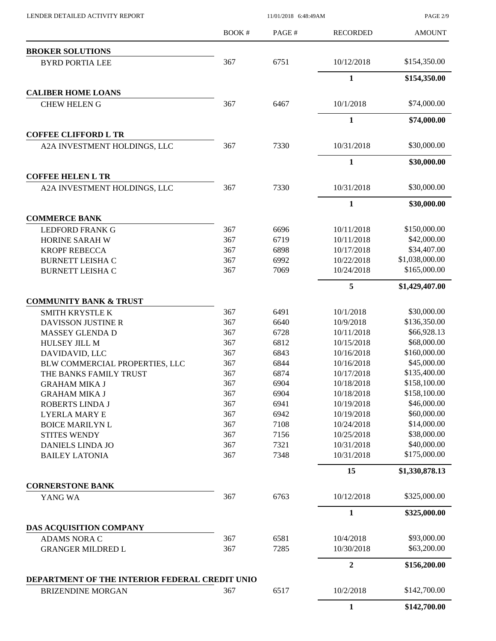$11/01/2018$  6:48:49AM

PAGE 2/9

|                                                | <b>BOOK#</b> | PAGE# | <b>RECORDED</b> | <b>AMOUNT</b>  |
|------------------------------------------------|--------------|-------|-----------------|----------------|
| <b>BROKER SOLUTIONS</b>                        |              |       |                 |                |
| <b>BYRD PORTIA LEE</b>                         | 367          | 6751  | 10/12/2018      | \$154,350.00   |
|                                                |              |       | 1               | \$154,350.00   |
| <b>CALIBER HOME LOANS</b>                      |              |       |                 |                |
| <b>CHEW HELEN G</b>                            | 367          | 6467  | 10/1/2018       | \$74,000.00    |
|                                                |              |       | $\mathbf{1}$    | \$74,000.00    |
| <b>COFFEE CLIFFORD L TR</b>                    |              |       |                 |                |
| A2A INVESTMENT HOLDINGS, LLC                   | 367          | 7330  | 10/31/2018      | \$30,000.00    |
|                                                |              |       | 1               | \$30,000.00    |
| <b>COFFEE HELEN L TR</b>                       |              |       |                 |                |
| A2A INVESTMENT HOLDINGS, LLC                   | 367          | 7330  | 10/31/2018      | \$30,000.00    |
|                                                |              |       | $\mathbf{1}$    | \$30,000.00    |
| <b>COMMERCE BANK</b>                           |              |       |                 |                |
| <b>LEDFORD FRANK G</b>                         | 367          | 6696  | 10/11/2018      | \$150,000.00   |
| HORINE SARAH W                                 | 367          | 6719  | 10/11/2018      | \$42,000.00    |
| <b>KROPF REBECCA</b>                           | 367          | 6898  | 10/17/2018      | \$34,407.00    |
| <b>BURNETT LEISHA C</b>                        | 367          | 6992  | 10/22/2018      | \$1,038,000.00 |
| <b>BURNETT LEISHA C</b>                        | 367          | 7069  | 10/24/2018      | \$165,000.00   |
|                                                |              |       | 5               | \$1,429,407.00 |
| <b>COMMUNITY BANK &amp; TRUST</b>              |              |       |                 |                |
| SMITH KRYSTLE K                                | 367          | 6491  | 10/1/2018       | \$30,000.00    |
| <b>DAVISSON JUSTINE R</b>                      | 367          | 6640  | 10/9/2018       | \$136,350.00   |
| MASSEY GLENDA D                                | 367          | 6728  | 10/11/2018      | \$66,928.13    |
| HULSEY JILL M                                  | 367          | 6812  | 10/15/2018      | \$68,000.00    |
| DAVIDAVID, LLC                                 | 367          | 6843  | 10/16/2018      | \$160,000.00   |
| BLW COMMERCIAL PROPERTIES, LLC                 | 367          | 6844  | 10/16/2018      | \$45,000.00    |
| THE BANKS FAMILY TRUST                         | 367          | 6874  | 10/17/2018      | \$135,400.00   |
| <b>GRAHAM MIKA J</b>                           | 367          | 6904  | 10/18/2018      | \$158,100.00   |
| <b>GRAHAM MIKA J</b>                           | 367          | 6904  | 10/18/2018      | \$158,100.00   |
| ROBERTS LINDA J                                | 367          | 6941  | 10/19/2018      | \$46,000.00    |
| <b>LYERLA MARY E</b>                           | 367          | 6942  | 10/19/2018      | \$60,000.00    |
| <b>BOICE MARILYN L</b>                         | 367          | 7108  | 10/24/2018      | \$14,000.00    |
| <b>STITES WENDY</b>                            | 367          | 7156  | 10/25/2018      | \$38,000.00    |
| <b>DANIELS LINDA JO</b>                        | 367          | 7321  | 10/31/2018      | \$40,000.00    |
| <b>BAILEY LATONIA</b>                          | 367          | 7348  | 10/31/2018      | \$175,000.00   |
|                                                |              |       | 15              | \$1,330,878.13 |
| <b>CORNERSTONE BANK</b>                        |              |       |                 |                |
| YANG WA                                        | 367          | 6763  | 10/12/2018      | \$325,000.00   |
|                                                |              |       | $\mathbf{1}$    | \$325,000.00   |
| DAS ACQUISITION COMPANY                        |              |       |                 |                |
| <b>ADAMS NORA C</b>                            | 367          | 6581  | 10/4/2018       | \$93,000.00    |
| <b>GRANGER MILDRED L</b>                       | 367          | 7285  | 10/30/2018      | \$63,200.00    |
|                                                |              |       | $\overline{2}$  | \$156,200.00   |
| DEPARTMENT OF THE INTERIOR FEDERAL CREDIT UNIO |              |       |                 |                |
| <b>BRIZENDINE MORGAN</b>                       | 367          | 6517  | 10/2/2018       | \$142,700.00   |
|                                                |              |       | $\mathbf{1}$    | \$142,700.00   |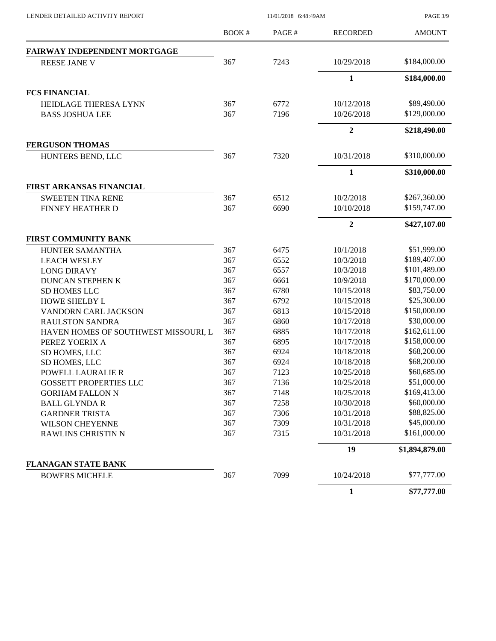$11/01/2018$  6:48:49AM

PAGE 3/9

|                                                                                  | <b>BOOK#</b> | PAGE#      | <b>RECORDED</b> | <b>AMOUNT</b>  |
|----------------------------------------------------------------------------------|--------------|------------|-----------------|----------------|
| <b>FAIRWAY INDEPENDENT MORTGAGE</b>                                              |              |            |                 |                |
| <b>REESE JANE V</b>                                                              | 367          | 7243       | 10/29/2018      | \$184,000.00   |
|                                                                                  |              |            | $\mathbf{1}$    | \$184,000.00   |
| <b>FCS FINANCIAL</b>                                                             |              |            |                 |                |
| HEIDLAGE THERESA LYNN                                                            | 367          | 6772       | 10/12/2018      | \$89,490.00    |
| <b>BASS JOSHUA LEE</b>                                                           | 367          | 7196       | 10/26/2018      | \$129,000.00   |
|                                                                                  |              |            | $\overline{2}$  | \$218,490.00   |
| <b>FERGUSON THOMAS</b>                                                           |              |            |                 |                |
| HUNTERS BEND, LLC                                                                | 367          | 7320       | 10/31/2018      | \$310,000.00   |
|                                                                                  |              |            | $\mathbf{1}$    | \$310,000.00   |
| FIRST ARKANSAS FINANCIAL                                                         |              |            |                 |                |
| <b>SWEETEN TINA RENE</b>                                                         | 367          | 6512       | 10/2/2018       | \$267,360.00   |
| FINNEY HEATHER D                                                                 | 367          | 6690       | 10/10/2018      | \$159,747.00   |
|                                                                                  |              |            | $\overline{2}$  | \$427,107.00   |
| FIRST COMMUNITY BANK                                                             |              |            |                 |                |
| HUNTER SAMANTHA                                                                  | 367          | 6475       | 10/1/2018       | \$51,999.00    |
| <b>LEACH WESLEY</b>                                                              | 367          | 6552       | 10/3/2018       | \$189,407.00   |
| <b>LONG DIRAVY</b>                                                               | 367          | 6557       | 10/3/2018       | \$101,489.00   |
| <b>DUNCAN STEPHEN K</b>                                                          | 367          | 6661       | 10/9/2018       | \$170,000.00   |
| <b>SD HOMES LLC</b>                                                              | 367          | 6780       | 10/15/2018      | \$83,750.00    |
| <b>HOWE SHELBY L</b>                                                             | 367          | 6792       | 10/15/2018      | \$25,300.00    |
| VANDORN CARL JACKSON                                                             | 367          | 6813       | 10/15/2018      | \$150,000.00   |
| <b>RAULSTON SANDRA</b>                                                           | 367          | 6860       | 10/17/2018      | \$30,000.00    |
| HAVEN HOMES OF SOUTHWEST MISSOURI, L                                             | 367          | 6885       | 10/17/2018      | \$162,611.00   |
| PEREZ YOERIX A                                                                   | 367          | 6895       | 10/17/2018      | \$158,000.00   |
| SD HOMES, LLC                                                                    | 367          | 6924       | 10/18/2018      | \$68,200.00    |
| SD HOMES, LLC                                                                    | 367          | 6924       | 10/18/2018      | \$68,200.00    |
| <b>POWELL LAURALIE R</b>                                                         | 367          | 7123       | 10/25/2018      | \$60,685.00    |
| <b>GOSSETT PROPERTIES LLC</b>                                                    | 367          | 7136       | 10/25/2018      | \$51,000.00    |
| <b>GORHAM FALLON N</b>                                                           | 367          | 7148       | 10/25/2018      | \$169,413.00   |
| <b>BALL GLYNDA R</b>                                                             | 367          | 7258       | 10/30/2018      | \$60,000.00    |
| <b>GARDNER TRISTA</b>                                                            | 367          | 7306       | 10/31/2018      | \$88,825.00    |
| <b>WILSON CHEYENNE</b>                                                           | 367          | 7309       | 10/31/2018      | \$45,000.00    |
| 367<br>7315<br><b>RAWLINS CHRISTIN N</b><br>7099<br>367<br><b>BOWERS MICHELE</b> |              | 10/31/2018 | \$161,000.00    |                |
|                                                                                  |              |            | 19              | \$1,894,879.00 |
| <b>FLANAGAN STATE BANK</b>                                                       |              |            |                 |                |
|                                                                                  |              |            | 10/24/2018      | \$77,777.00    |
|                                                                                  |              |            | $\mathbf{1}$    | \$77,777.00    |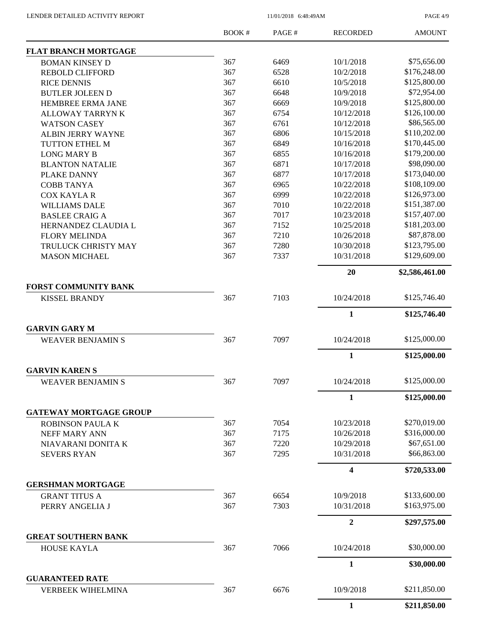PAGE 4/9

|                                                  | <b>BOOK#</b> | PAGE# | <b>RECORDED</b>         | <b>AMOUNT</b>  |
|--------------------------------------------------|--------------|-------|-------------------------|----------------|
| <b>FLAT BRANCH MORTGAGE</b>                      |              |       |                         |                |
| <b>BOMAN KINSEY D</b>                            | 367          | 6469  | 10/1/2018               | \$75,656.00    |
| <b>REBOLD CLIFFORD</b>                           | 367          | 6528  | 10/2/2018               | \$176,248.00   |
| <b>RICE DENNIS</b>                               | 367          | 6610  | 10/5/2018               | \$125,800.00   |
| <b>BUTLER JOLEEN D</b>                           | 367          | 6648  | 10/9/2018               | \$72,954.00    |
| HEMBREE ERMA JANE                                | 367          | 6669  | 10/9/2018               | \$125,800.00   |
| <b>ALLOWAY TARRYNK</b>                           | 367          | 6754  | 10/12/2018              | \$126,100.00   |
| <b>WATSON CASEY</b>                              | 367          | 6761  | 10/12/2018              | \$86,565.00    |
| <b>ALBIN JERRY WAYNE</b>                         | 367          | 6806  | 10/15/2018              | \$110,202.00   |
| TUTTON ETHEL M                                   | 367          | 6849  | 10/16/2018              | \$170,445.00   |
| <b>LONG MARY B</b>                               | 367          | 6855  | 10/16/2018              | \$179,200.00   |
| <b>BLANTON NATALIE</b>                           | 367          | 6871  | 10/17/2018              | \$98,090.00    |
| PLAKE DANNY                                      | 367          | 6877  | 10/17/2018              | \$173,040.00   |
| <b>COBB TANYA</b>                                | 367          | 6965  | 10/22/2018              | \$108,109.00   |
| <b>COX KAYLAR</b>                                | 367          | 6999  | 10/22/2018              | \$126,973.00   |
| <b>WILLIAMS DALE</b>                             | 367          | 7010  | 10/22/2018              | \$151,387.00   |
| <b>BASLEE CRAIG A</b>                            | 367          | 7017  | 10/23/2018              | \$157,407.00   |
| HERNANDEZ CLAUDIA L                              | 367          | 7152  | 10/25/2018              | \$181,203.00   |
| <b>FLORY MELINDA</b>                             | 367          | 7210  | 10/26/2018              | \$87,878.00    |
| TRULUCK CHRISTY MAY                              | 367          | 7280  | 10/30/2018              | \$123,795.00   |
| <b>MASON MICHAEL</b>                             | 367          | 7337  | 10/31/2018              | \$129,609.00   |
|                                                  |              |       | 20                      | \$2,586,461.00 |
| <b>FORST COMMUNITY BANK</b>                      |              |       |                         |                |
| <b>KISSEL BRANDY</b>                             | 367          | 7103  | 10/24/2018              | \$125,746.40   |
|                                                  |              |       | $\mathbf{1}$            | \$125,746.40   |
| <b>GARVIN GARY M</b><br><b>WEAVER BENJAMIN S</b> | 367          | 7097  | 10/24/2018              | \$125,000.00   |
|                                                  |              |       |                         |                |
|                                                  |              |       | $\mathbf{1}$            | \$125,000.00   |
| <b>GARVIN KARENS</b>                             |              |       |                         |                |
| <b>WEAVER BENJAMIN S</b>                         | 367          | 7097  | 10/24/2018              | \$125,000.00   |
|                                                  |              |       | 1                       | \$125,000.00   |
| <b>GATEWAY MORTGAGE GROUP</b>                    |              |       |                         |                |
| <b>ROBINSON PAULA K</b>                          | 367          | 7054  | 10/23/2018              | \$270,019.00   |
| NEFF MARY ANN                                    | 367          | 7175  | 10/26/2018              | \$316,000.00   |
| NIAVARANI DONITA K                               | 367          | 7220  | 10/29/2018              | \$67,651.00    |
| <b>SEVERS RYAN</b>                               | 367          | 7295  | 10/31/2018              | \$66,863.00    |
|                                                  |              |       | $\overline{\mathbf{4}}$ | \$720,533.00   |
| <b>GERSHMAN MORTGAGE</b>                         |              |       |                         |                |
| <b>GRANT TITUS A</b>                             | 367          | 6654  | 10/9/2018               | \$133,600.00   |
| PERRY ANGELIA J                                  | 367          | 7303  | 10/31/2018              | \$163,975.00   |
|                                                  |              |       | $\mathbf{2}$            | \$297,575.00   |
| <b>GREAT SOUTHERN BANK</b>                       |              |       |                         |                |
| <b>HOUSE KAYLA</b>                               | 367          | 7066  | 10/24/2018              | \$30,000.00    |
|                                                  |              |       | $\mathbf{1}$            | \$30,000.00    |
| <b>GUARANTEED RATE</b>                           |              |       |                         |                |
| <b>VERBEEK WIHELMINA</b>                         | 367          | 6676  | 10/9/2018               | \$211,850.00   |
|                                                  |              |       | $\mathbf{1}$            | \$211,850.00   |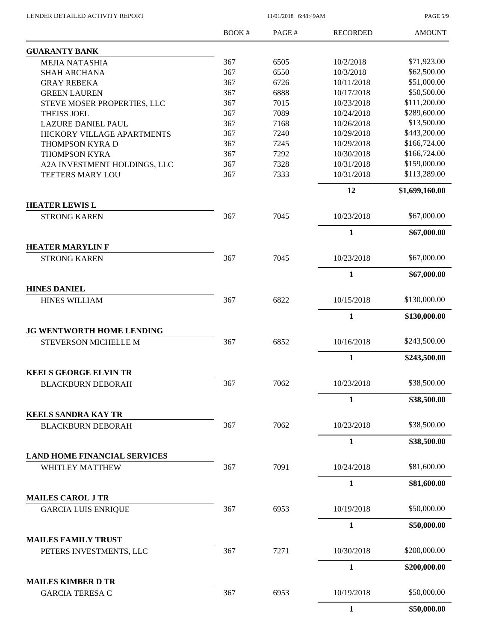PAGE 5/9

|                                                        | <b>BOOK#</b> | PAGE# | <b>RECORDED</b> | <b>AMOUNT</b>  |
|--------------------------------------------------------|--------------|-------|-----------------|----------------|
| <b>GUARANTY BANK</b>                                   |              |       |                 |                |
| <b>MEJIA NATASHIA</b>                                  | 367          | 6505  | 10/2/2018       | \$71,923.00    |
| <b>SHAH ARCHANA</b>                                    | 367          | 6550  | 10/3/2018       | \$62,500.00    |
| <b>GRAY REBEKA</b>                                     | 367          | 6726  | 10/11/2018      | \$51,000.00    |
| <b>GREEN LAUREN</b>                                    | 367          | 6888  | 10/17/2018      | \$50,500.00    |
| STEVE MOSER PROPERTIES, LLC                            | 367          | 7015  | 10/23/2018      | \$111,200.00   |
| <b>THEISS JOEL</b>                                     | 367          | 7089  | 10/24/2018      | \$289,600.00   |
| <b>LAZURE DANIEL PAUL</b>                              | 367          | 7168  | 10/26/2018      | \$13,500.00    |
| HICKORY VILLAGE APARTMENTS                             | 367          | 7240  | 10/29/2018      | \$443,200.00   |
| THOMPSON KYRA D                                        | 367          | 7245  | 10/29/2018      | \$166,724.00   |
| THOMPSON KYRA                                          | 367          | 7292  | 10/30/2018      | \$166,724.00   |
| A2A INVESTMENT HOLDINGS, LLC                           | 367          | 7328  | 10/31/2018      | \$159,000.00   |
| <b>TEETERS MARY LOU</b>                                | 367          | 7333  | 10/31/2018      | \$113,289.00   |
|                                                        |              |       | 12              | \$1,699,160.00 |
| <b>HEATER LEWIS L</b>                                  |              |       |                 |                |
| <b>STRONG KAREN</b>                                    | 367          | 7045  | 10/23/2018      | \$67,000.00    |
|                                                        |              |       | $\mathbf{1}$    | \$67,000.00    |
| <b>HEATER MARYLIN F</b>                                |              |       |                 |                |
| <b>STRONG KAREN</b>                                    | 367          | 7045  | 10/23/2018      | \$67,000.00    |
|                                                        |              |       | $\mathbf{1}$    | \$67,000.00    |
| <b>HINES DANIEL</b>                                    |              |       |                 |                |
| <b>HINES WILLIAM</b>                                   | 367          | 6822  | 10/15/2018      | \$130,000.00   |
|                                                        |              |       | 1               | \$130,000.00   |
| JG WENTWORTH HOME LENDING                              |              |       |                 |                |
| <b>STEVERSON MICHELLE M</b>                            | 367          | 6852  | 10/16/2018      | \$243,500.00   |
|                                                        |              |       | 1               | \$243,500.00   |
| <b>KEELS GEORGE ELVIN TR</b>                           |              |       |                 |                |
| <b>BLACKBURN DEBORAH</b>                               | 367          | 7062  | 10/23/2018      | \$38,500.00    |
|                                                        |              |       | 1               | \$38,500.00    |
| <b>KEELS SANDRA KAY TR</b>                             |              |       |                 |                |
| <b>BLACKBURN DEBORAH</b>                               | 367          | 7062  | 10/23/2018      | \$38,500.00    |
|                                                        |              |       | 1               | \$38,500.00    |
| <b>LAND HOME FINANCIAL SERVICES</b><br>WHITLEY MATTHEW | 367          | 7091  | 10/24/2018      | \$81,600.00    |
|                                                        |              |       | $\mathbf{1}$    | \$81,600.00    |
| <b>MAILES CAROL J TR</b>                               |              |       |                 |                |
|                                                        | 367          | 6953  | 10/19/2018      | \$50,000.00    |
| <b>GARCIA LUIS ENRIQUE</b>                             |              |       |                 |                |
|                                                        |              |       | $\mathbf{1}$    | \$50,000.00    |
| <b>MAILES FAMILY TRUST</b><br>PETERS INVESTMENTS, LLC  | 367          | 7271  | 10/30/2018      | \$200,000.00   |
|                                                        |              |       | $\mathbf{1}$    | \$200,000.00   |
| <b>MAILES KIMBER D TR</b>                              |              |       |                 |                |
| <b>GARCIA TERESA C</b>                                 | 367          | 6953  | 10/19/2018      | \$50,000.00    |
|                                                        |              |       | $\mathbf{1}$    | \$50,000.00    |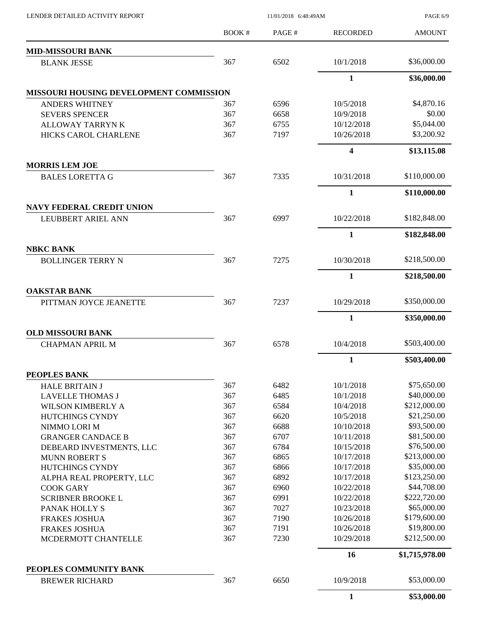| LENDER DETAILED ACTIVITY REPORT                    |       |                                                                                                                                                                                                                                                                                                                                                                        |                 | PAGE 6/9       |
|----------------------------------------------------|-------|------------------------------------------------------------------------------------------------------------------------------------------------------------------------------------------------------------------------------------------------------------------------------------------------------------------------------------------------------------------------|-----------------|----------------|
|                                                    | BOOK# | PAGE#                                                                                                                                                                                                                                                                                                                                                                  | <b>RECORDED</b> | <b>AMOUNT</b>  |
| <b>MID-MISSOURI BANK</b>                           |       |                                                                                                                                                                                                                                                                                                                                                                        |                 |                |
| <b>BLANK JESSE</b>                                 | 367   | 6502                                                                                                                                                                                                                                                                                                                                                                   | 10/1/2018       | \$36,000.00    |
|                                                    |       |                                                                                                                                                                                                                                                                                                                                                                        | $\mathbf{1}$    | \$36,000.00    |
| <b>MISSOURI HOUSING DEVELOPMENT COMMISSION</b>     |       |                                                                                                                                                                                                                                                                                                                                                                        |                 |                |
| <b>ANDERS WHITNEY</b>                              | 367   | 6596                                                                                                                                                                                                                                                                                                                                                                   | 10/5/2018       | \$4,870.16     |
| <b>SEVERS SPENCER</b>                              | 367   | 6658                                                                                                                                                                                                                                                                                                                                                                   | 10/9/2018       | \$0.00         |
| <b>ALLOWAY TARRYNK</b>                             | 367   | 6755                                                                                                                                                                                                                                                                                                                                                                   | 10/12/2018      | \$5,044.00     |
| HICKS CAROL CHARLENE                               | 367   |                                                                                                                                                                                                                                                                                                                                                                        | 10/26/2018      | \$3,200.92     |
|                                                    |       |                                                                                                                                                                                                                                                                                                                                                                        | 4               | \$13,115.08    |
| <b>MORRIS LEM JOE</b>                              |       |                                                                                                                                                                                                                                                                                                                                                                        |                 |                |
| <b>BALES LORETTA G</b>                             |       |                                                                                                                                                                                                                                                                                                                                                                        | 10/31/2018      | \$110,000.00   |
|                                                    |       |                                                                                                                                                                                                                                                                                                                                                                        | $\mathbf{1}$    | \$110,000.00   |
| <b>NAVY FEDERAL CREDIT UNION</b>                   |       |                                                                                                                                                                                                                                                                                                                                                                        |                 |                |
| LEUBBERT ARIEL ANN                                 |       |                                                                                                                                                                                                                                                                                                                                                                        | 10/22/2018      | \$182,848.00   |
|                                                    |       |                                                                                                                                                                                                                                                                                                                                                                        | 1               | \$182,848.00   |
| <b>NBKC BANK</b><br><b>BOLLINGER TERRY N</b>       |       | 11/01/2018 6:48:49AM<br>7197<br>367<br>7335<br>367<br>6997<br>7275<br>367<br>367<br>7237<br>367<br>6578<br>6482<br>367<br>367<br>6485<br>367<br>6584<br>367<br>6620<br>367<br>6688<br>367<br>6707<br>367<br>6784<br>367<br>6865<br>367<br>6866<br>367<br>6892<br>367<br>6960<br>367<br>6991<br>367<br>7027<br>367<br>7190<br>367<br>7191<br>367<br>7230<br>6650<br>367 | 10/30/2018      | \$218,500.00   |
|                                                    |       |                                                                                                                                                                                                                                                                                                                                                                        |                 |                |
|                                                    |       |                                                                                                                                                                                                                                                                                                                                                                        | 1               | \$218,500.00   |
| <b>OAKSTAR BANK</b><br>PITTMAN JOYCE JEANETTE      |       |                                                                                                                                                                                                                                                                                                                                                                        | 10/29/2018      | \$350,000.00   |
|                                                    |       |                                                                                                                                                                                                                                                                                                                                                                        |                 |                |
|                                                    |       |                                                                                                                                                                                                                                                                                                                                                                        | $\mathbf{1}$    | \$350,000.00   |
| <b>OLD MISSOURI BANK</b><br><b>CHAPMAN APRIL M</b> |       |                                                                                                                                                                                                                                                                                                                                                                        | 10/4/2018       | \$503,400.00   |
|                                                    |       |                                                                                                                                                                                                                                                                                                                                                                        | 1               | \$503,400.00   |
| <b>PEOPLES BANK</b>                                |       |                                                                                                                                                                                                                                                                                                                                                                        |                 |                |
| <b>HALE BRITAIN J</b>                              |       |                                                                                                                                                                                                                                                                                                                                                                        | 10/1/2018       | \$75,650.00    |
| <b>LAVELLE THOMAS J</b>                            |       |                                                                                                                                                                                                                                                                                                                                                                        | 10/1/2018       | \$40,000.00    |
| WILSON KIMBERLY A                                  |       |                                                                                                                                                                                                                                                                                                                                                                        | 10/4/2018       | \$212,000.00   |
| HUTCHINGS CYNDY                                    |       |                                                                                                                                                                                                                                                                                                                                                                        | 10/5/2018       | \$21,250.00    |
| NIMMO LORI M                                       |       |                                                                                                                                                                                                                                                                                                                                                                        | 10/10/2018      | \$93,500.00    |
| <b>GRANGER CANDACE B</b>                           |       |                                                                                                                                                                                                                                                                                                                                                                        | 10/11/2018      | \$81,500.00    |
| DEBEARD INVESTMENTS, LLC                           |       |                                                                                                                                                                                                                                                                                                                                                                        | 10/15/2018      | \$76,500.00    |
| <b>MUNN ROBERT S</b>                               |       |                                                                                                                                                                                                                                                                                                                                                                        | 10/17/2018      | \$213,000.00   |
| HUTCHINGS CYNDY                                    |       |                                                                                                                                                                                                                                                                                                                                                                        | 10/17/2018      | \$35,000.00    |
| ALPHA REAL PROPERTY, LLC                           |       |                                                                                                                                                                                                                                                                                                                                                                        | 10/17/2018      | \$123,250.00   |
| <b>COOK GARY</b>                                   |       |                                                                                                                                                                                                                                                                                                                                                                        | 10/22/2018      | \$44,708.00    |
| <b>SCRIBNER BROOKE L</b>                           |       |                                                                                                                                                                                                                                                                                                                                                                        | 10/22/2018      | \$222,720.00   |
| PANAK HOLLY S                                      |       |                                                                                                                                                                                                                                                                                                                                                                        | 10/23/2018      | \$65,000.00    |
| <b>FRAKES JOSHUA</b>                               |       |                                                                                                                                                                                                                                                                                                                                                                        | 10/26/2018      | \$179,600.00   |
| <b>FRAKES JOSHUA</b>                               |       |                                                                                                                                                                                                                                                                                                                                                                        | 10/26/2018      | \$19,800.00    |
| MCDERMOTT CHANTELLE                                |       |                                                                                                                                                                                                                                                                                                                                                                        | 10/29/2018      | \$212,500.00   |
|                                                    |       |                                                                                                                                                                                                                                                                                                                                                                        | 16              | \$1,715,978.00 |
| PEOPLES COMMUNITY BANK                             |       |                                                                                                                                                                                                                                                                                                                                                                        |                 |                |
| <b>BREWER RICHARD</b>                              |       |                                                                                                                                                                                                                                                                                                                                                                        | 10/9/2018       | \$53,000.00    |
|                                                    |       |                                                                                                                                                                                                                                                                                                                                                                        | $\mathbf{1}$    | \$53,000.00    |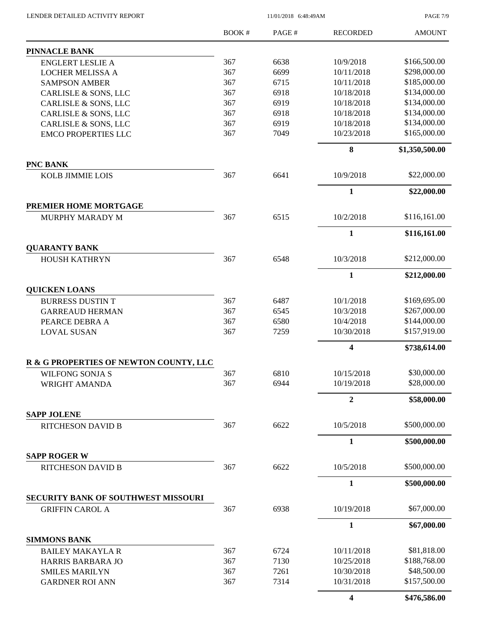PAGE 7/9

|                                                 | <b>BOOK#</b> | PAGE# | <b>RECORDED</b> | <b>AMOUNT</b>  |
|-------------------------------------------------|--------------|-------|-----------------|----------------|
| <b>PINNACLE BANK</b>                            |              |       |                 |                |
| <b>ENGLERT LESLIE A</b>                         | 367          | 6638  | 10/9/2018       | \$166,500.00   |
| <b>LOCHER MELISSA A</b>                         | 367          | 6699  | 10/11/2018      | \$298,000.00   |
| <b>SAMPSON AMBER</b>                            | 367          | 6715  | 10/11/2018      | \$185,000.00   |
| CARLISLE & SONS, LLC                            | 367          | 6918  | 10/18/2018      | \$134,000.00   |
| CARLISLE & SONS, LLC                            | 367          | 6919  | 10/18/2018      | \$134,000.00   |
| CARLISLE & SONS, LLC                            | 367          | 6918  | 10/18/2018      | \$134,000.00   |
| CARLISLE & SONS, LLC                            | 367          | 6919  | 10/18/2018      | \$134,000.00   |
| <b>EMCO PROPERTIES LLC</b>                      | 367          | 7049  | 10/23/2018      | \$165,000.00   |
|                                                 |              |       | 8               | \$1,350,500.00 |
| <b>PNC BANK</b>                                 |              |       |                 |                |
| <b>KOLB JIMMIE LOIS</b>                         | 367          | 6641  | 10/9/2018       | \$22,000.00    |
|                                                 |              |       | $\mathbf{1}$    | \$22,000.00    |
| PREMIER HOME MORTGAGE<br><b>MURPHY MARADY M</b> | 367          | 6515  | 10/2/2018       | \$116,161.00   |
|                                                 |              |       |                 |                |
|                                                 |              |       | $\mathbf{1}$    | \$116,161.00   |
| <b>QUARANTY BANK</b><br><b>HOUSH KATHRYN</b>    | 367          | 6548  | 10/3/2018       | \$212,000.00   |
|                                                 |              |       | $\mathbf{1}$    | \$212,000.00   |
| <b>QUICKEN LOANS</b>                            |              |       |                 |                |
| <b>BURRESS DUSTIN T</b>                         | 367          | 6487  | 10/1/2018       | \$169,695.00   |
| <b>GARREAUD HERMAN</b>                          | 367          | 6545  | 10/3/2018       | \$267,000.00   |
| PEARCE DEBRA A                                  | 367          | 6580  | 10/4/2018       | \$144,000.00   |
| <b>LOVAL SUSAN</b>                              | 367          | 7259  | 10/30/2018      | \$157,919.00   |
|                                                 |              |       | 4               | \$738,614.00   |
| R & G PROPERTIES OF NEWTON COUNTY, LLC          |              |       |                 |                |
| <b>WILFONG SONJA S</b>                          | 367          | 6810  | 10/15/2018      | \$30,000.00    |
| WRIGHT AMANDA                                   | 367          | 6944  | 10/19/2018      | \$28,000.00    |
|                                                 |              |       | $\overline{2}$  | \$58,000.00    |
| <b>SAPP JOLENE</b>                              |              |       |                 | \$500,000.00   |
| <b>RITCHESON DAVID B</b>                        | 367          | 6622  | 10/5/2018       |                |
| <b>SAPP ROGER W</b>                             |              |       | $\mathbf{1}$    | \$500,000.00   |
| <b>RITCHESON DAVID B</b>                        | 367          | 6622  | 10/5/2018       | \$500,000.00   |
|                                                 |              |       | $\mathbf{1}$    | \$500,000.00   |
| <b>SECURITY BANK OF SOUTHWEST MISSOURI</b>      |              |       |                 |                |
| <b>GRIFFIN CAROL A</b>                          | 367          | 6938  | 10/19/2018      | \$67,000.00    |
|                                                 |              |       | $\mathbf{1}$    | \$67,000.00    |
| <b>SIMMONS BANK</b>                             |              |       |                 |                |
| <b>BAILEY MAKAYLA R</b>                         | 367          | 6724  | 10/11/2018      | \$81,818.00    |
| HARRIS BARBARA JO                               | 367          | 7130  | 10/25/2018      | \$188,768.00   |
| <b>SMILES MARILYN</b>                           | 367          | 7261  | 10/30/2018      | \$48,500.00    |
| <b>GARDNER ROI ANN</b>                          | 367          | 7314  | 10/31/2018      | \$157,500.00   |
|                                                 |              |       | 4               | \$476,586.00   |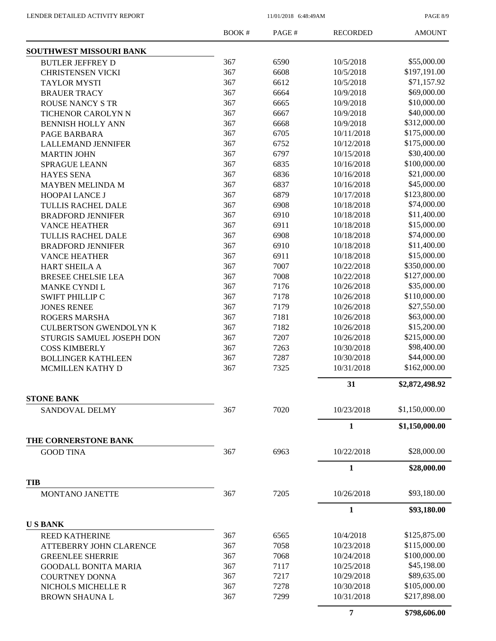PAGE 8/9

|                               | <b>BOOK#</b> | PAGE#                                                                                                                                                                                                                                                                                                                                                                                                                                                                                                                      | <b>RECORDED</b> | <b>AMOUNT</b>  |
|-------------------------------|--------------|----------------------------------------------------------------------------------------------------------------------------------------------------------------------------------------------------------------------------------------------------------------------------------------------------------------------------------------------------------------------------------------------------------------------------------------------------------------------------------------------------------------------------|-----------------|----------------|
| SOUTHWEST MISSOURI BANK       |              |                                                                                                                                                                                                                                                                                                                                                                                                                                                                                                                            |                 |                |
| <b>BUTLER JEFFREY D</b>       | 367          | 6590                                                                                                                                                                                                                                                                                                                                                                                                                                                                                                                       | 10/5/2018       | \$55,000.00    |
| <b>CHRISTENSEN VICKI</b>      | 367          | 6608                                                                                                                                                                                                                                                                                                                                                                                                                                                                                                                       | 10/5/2018       | \$197,191.00   |
| <b>TAYLOR MYSTI</b>           | 367          | 6612                                                                                                                                                                                                                                                                                                                                                                                                                                                                                                                       | 10/5/2018       | \$71,157.92    |
| <b>BRAUER TRACY</b>           | 367          | 6664                                                                                                                                                                                                                                                                                                                                                                                                                                                                                                                       | 10/9/2018       | \$69,000.00    |
| <b>ROUSE NANCY S TR</b>       | 367          | 6665                                                                                                                                                                                                                                                                                                                                                                                                                                                                                                                       | 10/9/2018       | \$10,000.00    |
| TICHENOR CAROLYN N            | 367          | 6667                                                                                                                                                                                                                                                                                                                                                                                                                                                                                                                       | 10/9/2018       | \$40,000.00    |
| <b>BENNISH HOLLY ANN</b>      |              |                                                                                                                                                                                                                                                                                                                                                                                                                                                                                                                            | 10/9/2018       | \$312,000.00   |
| PAGE BARBARA                  | 367          | 6705                                                                                                                                                                                                                                                                                                                                                                                                                                                                                                                       | 10/11/2018      | \$175,000.00   |
| <b>LALLEMAND JENNIFER</b>     |              |                                                                                                                                                                                                                                                                                                                                                                                                                                                                                                                            | 10/12/2018      | \$175,000.00   |
| <b>MARTIN JOHN</b>            |              |                                                                                                                                                                                                                                                                                                                                                                                                                                                                                                                            | 10/15/2018      | \$30,400.00    |
| <b>SPRAGUE LEANN</b>          |              |                                                                                                                                                                                                                                                                                                                                                                                                                                                                                                                            | 10/16/2018      | \$100,000.00   |
| <b>HAYES SENA</b>             |              |                                                                                                                                                                                                                                                                                                                                                                                                                                                                                                                            | 10/16/2018      | \$21,000.00    |
| <b>MAYBEN MELINDA M</b>       |              |                                                                                                                                                                                                                                                                                                                                                                                                                                                                                                                            | 10/16/2018      | \$45,000.00    |
| HOOPAI LANCE J                |              |                                                                                                                                                                                                                                                                                                                                                                                                                                                                                                                            | 10/17/2018      | \$123,800.00   |
| TULLIS RACHEL DALE            |              |                                                                                                                                                                                                                                                                                                                                                                                                                                                                                                                            | 10/18/2018      | \$74,000.00    |
| <b>BRADFORD JENNIFER</b>      |              |                                                                                                                                                                                                                                                                                                                                                                                                                                                                                                                            | 10/18/2018      | \$11,400.00    |
| <b>VANCE HEATHER</b>          |              |                                                                                                                                                                                                                                                                                                                                                                                                                                                                                                                            | 10/18/2018      | \$15,000.00    |
| TULLIS RACHEL DALE            |              |                                                                                                                                                                                                                                                                                                                                                                                                                                                                                                                            | 10/18/2018      | \$74,000.00    |
| <b>BRADFORD JENNIFER</b>      |              |                                                                                                                                                                                                                                                                                                                                                                                                                                                                                                                            | 10/18/2018      | \$11,400.00    |
| <b>VANCE HEATHER</b>          |              |                                                                                                                                                                                                                                                                                                                                                                                                                                                                                                                            | 10/18/2018      | \$15,000.00    |
| HART SHEILA A                 |              |                                                                                                                                                                                                                                                                                                                                                                                                                                                                                                                            | 10/22/2018      | \$350,000.00   |
| <b>BRESEE CHELSIE LEA</b>     |              |                                                                                                                                                                                                                                                                                                                                                                                                                                                                                                                            | 10/22/2018      | \$127,000.00   |
| MANKE CYNDI L                 |              |                                                                                                                                                                                                                                                                                                                                                                                                                                                                                                                            | 10/26/2018      | \$35,000.00    |
| <b>SWIFT PHILLIP C</b>        |              |                                                                                                                                                                                                                                                                                                                                                                                                                                                                                                                            | 10/26/2018      | \$110,000.00   |
| <b>JONES RENEE</b>            |              |                                                                                                                                                                                                                                                                                                                                                                                                                                                                                                                            | 10/26/2018      | \$27,550.00    |
|                               |              |                                                                                                                                                                                                                                                                                                                                                                                                                                                                                                                            | 10/26/2018      | \$63,000.00    |
| <b>ROGERS MARSHA</b>          |              |                                                                                                                                                                                                                                                                                                                                                                                                                                                                                                                            | 10/26/2018      | \$15,200.00    |
| <b>CULBERTSON GWENDOLYN K</b> |              |                                                                                                                                                                                                                                                                                                                                                                                                                                                                                                                            | 10/26/2018      | \$215,000.00   |
| STURGIS SAMUEL JOSEPH DON     |              |                                                                                                                                                                                                                                                                                                                                                                                                                                                                                                                            |                 | \$98,400.00    |
| <b>COSS KIMBERLY</b>          |              |                                                                                                                                                                                                                                                                                                                                                                                                                                                                                                                            | 10/30/2018      |                |
| <b>BOLLINGER KATHLEEN</b>     |              |                                                                                                                                                                                                                                                                                                                                                                                                                                                                                                                            | 10/30/2018      | \$44,000.00    |
| MCMILLEN KATHY D              |              |                                                                                                                                                                                                                                                                                                                                                                                                                                                                                                                            | 10/31/2018      | \$162,000.00   |
|                               |              |                                                                                                                                                                                                                                                                                                                                                                                                                                                                                                                            | 31              | \$2,872,498.92 |
| <b>STONE BANK</b>             |              |                                                                                                                                                                                                                                                                                                                                                                                                                                                                                                                            |                 |                |
| <b>SANDOVAL DELMY</b>         |              | 367<br>6668<br>367<br>6752<br>367<br>6797<br>367<br>6835<br>367<br>6836<br>367<br>6837<br>367<br>6879<br>367<br>6908<br>367<br>6910<br>367<br>6911<br>367<br>6908<br>367<br>6910<br>367<br>6911<br>367<br>7007<br>367<br>7008<br>367<br>7176<br>367<br>7178<br>367<br>7179<br>367<br>7181<br>367<br>7182<br>367<br>7207<br>367<br>7263<br>367<br>7287<br>367<br>7325<br>7020<br>367<br>367<br>6963<br>367<br>7205<br>367<br>6565<br>367<br>7058<br>367<br>7068<br>367<br>7117<br>367<br>7217<br>7278<br>367<br>7299<br>367 | 10/23/2018      | \$1,150,000.00 |
|                               |              |                                                                                                                                                                                                                                                                                                                                                                                                                                                                                                                            | 1               | \$1,150,000.00 |
| THE CORNERSTONE BANK          |              |                                                                                                                                                                                                                                                                                                                                                                                                                                                                                                                            |                 |                |
| <b>GOOD TINA</b>              |              |                                                                                                                                                                                                                                                                                                                                                                                                                                                                                                                            | 10/22/2018      | \$28,000.00    |
|                               |              |                                                                                                                                                                                                                                                                                                                                                                                                                                                                                                                            | 1               | \$28,000.00    |
| <b>TIB</b>                    |              |                                                                                                                                                                                                                                                                                                                                                                                                                                                                                                                            |                 | \$93,180.00    |
| <b>MONTANO JANETTE</b>        |              |                                                                                                                                                                                                                                                                                                                                                                                                                                                                                                                            | 10/26/2018      |                |
|                               |              |                                                                                                                                                                                                                                                                                                                                                                                                                                                                                                                            | 1               | \$93,180.00    |
| <b>USBANK</b>                 |              |                                                                                                                                                                                                                                                                                                                                                                                                                                                                                                                            |                 |                |
| <b>REED KATHERINE</b>         |              |                                                                                                                                                                                                                                                                                                                                                                                                                                                                                                                            | 10/4/2018       | \$125,875.00   |
| ATTEBERRY JOHN CLARENCE       |              |                                                                                                                                                                                                                                                                                                                                                                                                                                                                                                                            | 10/23/2018      | \$115,000.00   |
| <b>GREENLEE SHERRIE</b>       |              |                                                                                                                                                                                                                                                                                                                                                                                                                                                                                                                            | 10/24/2018      | \$100,000.00   |
| <b>GOODALL BONITA MARIA</b>   |              |                                                                                                                                                                                                                                                                                                                                                                                                                                                                                                                            | 10/25/2018      | \$45,198.00    |
| <b>COURTNEY DONNA</b>         |              |                                                                                                                                                                                                                                                                                                                                                                                                                                                                                                                            | 10/29/2018      | \$89,635.00    |
| NICHOLS MICHELLE R            |              |                                                                                                                                                                                                                                                                                                                                                                                                                                                                                                                            | 10/30/2018      | \$105,000.00   |
| <b>BROWN SHAUNA L</b>         |              |                                                                                                                                                                                                                                                                                                                                                                                                                                                                                                                            | 10/31/2018      | \$217,898.00   |
|                               |              |                                                                                                                                                                                                                                                                                                                                                                                                                                                                                                                            | 7               | \$798,606.00   |